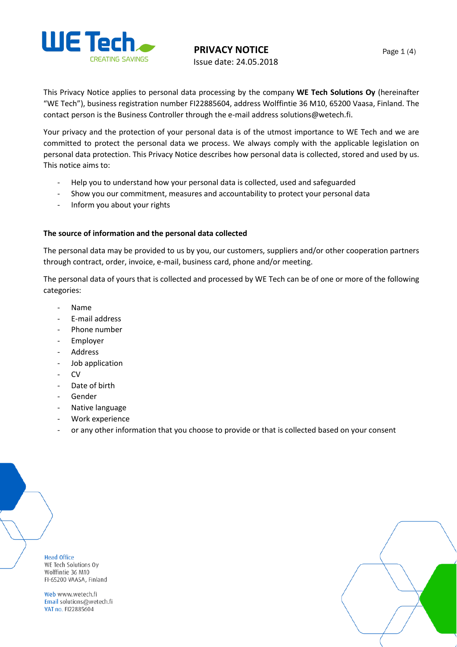

**PRIVACY NOTICE**

Issue date: 24.05.2018

This Privacy Notice applies to personal data processing by the company **WE Tech Solutions Oy** (hereinafter "WE Tech"), business registration number FI22885604, address Wolffintie 36 M10, 65200 Vaasa, Finland. The contact person is the Business Controller through the e-mail address solutions@wetech.fi.

Your privacy and the protection of your personal data is of the utmost importance to WE Tech and we are committed to protect the personal data we process. We always comply with the applicable legislation on personal data protection. This Privacy Notice describes how personal data is collected, stored and used by us. This notice aims to:

- Help you to understand how your personal data is collected, used and safeguarded
- Show you our commitment, measures and accountability to protect your personal data
- Inform you about your rights

## **The source of information and the personal data collected**

The personal data may be provided to us by you, our customers, suppliers and/or other cooperation partners through contract, order, invoice, e-mail, business card, phone and/or meeting.

The personal data of yours that is collected and processed by WE Tech can be of one or more of the following categories:

- Name
- E-mail address
- Phone number
- **Employer**
- Address
- Job application
- CV
- Date of birth
- Gender
- Native language
- Work experience
- or any other information that you choose to provide or that is collected based on your consent

**Head Office** 

WE Tech Solutions Oy Wolffintie 36 M10 FI-65200 VAASA, Finland

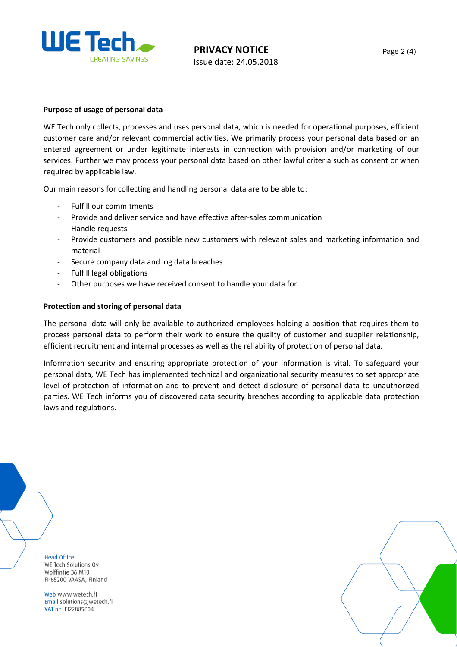

### **Purpose of usage of personal data**

WE Tech only collects, processes and uses personal data, which is needed for operational purposes, efficient customer care and/or relevant commercial activities. We primarily process your personal data based on an entered agreement or under legitimate interests in connection with provision and/or marketing of our services. Further we may process your personal data based on other lawful criteria such as consent or when required by applicable law.

Our main reasons for collecting and handling personal data are to be able to:

- Fulfill our commitments
- Provide and deliver service and have effective after-sales communication
- Handle requests
- Provide customers and possible new customers with relevant sales and marketing information and material
- Secure company data and log data breaches
- Fulfill legal obligations
- Other purposes we have received consent to handle your data for

#### **Protection and storing of personal data**

The personal data will only be available to authorized employees holding a position that requires them to process personal data to perform their work to ensure the quality of customer and supplier relationship, efficient recruitment and internal processes as well as the reliability of protection of personal data.

Information security and ensuring appropriate protection of your information is vital. To safeguard your personal data, WE Tech has implemented technical and organizational security measures to set appropriate level of protection of information and to prevent and detect disclosure of personal data to unauthorized parties. WE Tech informs you of discovered data security breaches according to applicable data protection laws and regulations.

**Head Office** WE Tech Solutions Oy Wolffintie 36 M10 FI-65200 VAASA, Finland

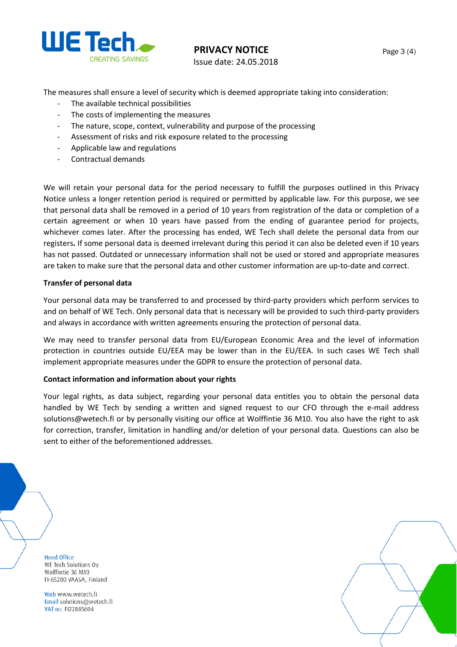

**PRIVACY NOTICE**

Issue date: 24.05.2018

The measures shall ensure a level of security which is deemed appropriate taking into consideration:

- The available technical possibilities
- The costs of implementing the measures
- The nature, scope, context, vulnerability and purpose of the processing
- Assessment of risks and risk exposure related to the processing
- Applicable law and regulations
- Contractual demands

We will retain your personal data for the period necessary to fulfill the purposes outlined in this Privacy Notice unless a longer retention period is required or permitted by applicable law. For this purpose, we see that personal data shall be removed in a period of 10 years from registration of the data or completion of a certain agreement or when 10 years have passed from the ending of guarantee period for projects, whichever comes later. After the processing has ended, WE Tech shall delete the personal data from our registers**.** If some personal data is deemed irrelevant during this period it can also be deleted even if 10 years has not passed. Outdated or unnecessary information shall not be used or stored and appropriate measures are taken to make sure that the personal data and other customer information are up-to-date and correct.

#### **Transfer of personal data**

Your personal data may be transferred to and processed by third-party providers which perform services to and on behalf of WE Tech. Only personal data that is necessary will be provided to such third-party providers and always in accordance with written agreements ensuring the protection of personal data.

We may need to transfer personal data from EU/European Economic Area and the level of information protection in countries outside EU/EEA may be lower than in the EU/EEA. In such cases WE Tech shall implement appropriate measures under the GDPR to ensure the protection of personal data.

#### **Contact information and information about your rights**

Your legal rights, as data subject, regarding your personal data entitles you to obtain the personal data handled by WE Tech by sending a written and signed request to our CFO through the e-mail address solutions@wetech.fi or by personally visiting our office at Wolffintie 36 M10. You also have the right to ask for correction, transfer, limitation in handling and/or deletion of your personal data. Questions can also be sent to either of the beforementioned addresses.

**Head Office** WE Tech Solutions Oy Wolffintie 36 M10 FI-65200 VAASA, Finland